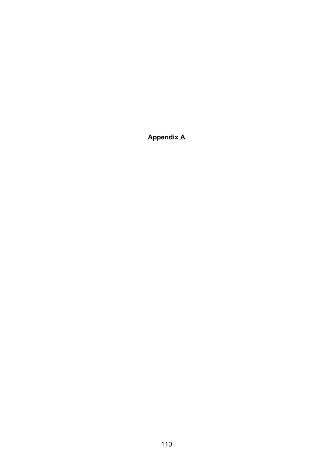**Appendix A**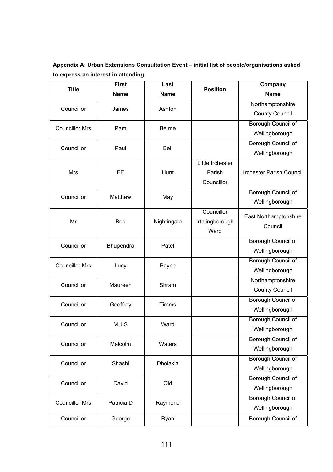**Appendix A: Urban Extensions Consultation Event – initial list of people/organisations asked to express an interest in attending.** 

| <b>Title</b>          | <b>First</b> | Last                                         | <b>Position</b>  | Company                         |
|-----------------------|--------------|----------------------------------------------|------------------|---------------------------------|
|                       | <b>Name</b>  | <b>Name</b>                                  |                  | <b>Name</b>                     |
| Councillor            | James        | Ashton                                       |                  | Northamptonshire                |
|                       |              |                                              |                  | <b>County Council</b>           |
| <b>Councillor Mrs</b> | Pam          | <b>Beirne</b>                                |                  | <b>Borough Council of</b>       |
|                       |              |                                              |                  | Wellingborough                  |
| Councillor            | Paul         | Bell                                         |                  | <b>Borough Council of</b>       |
|                       |              |                                              |                  | Wellingborough                  |
|                       |              |                                              | Little Irchester |                                 |
| <b>Mrs</b>            | <b>FE</b>    | Hunt                                         | Parish           | <b>Irchester Parish Council</b> |
|                       |              | May<br>Nightingale<br>Ward<br>Patel<br>Payne | Councillor       |                                 |
| Councillor            | Matthew      |                                              |                  | Borough Council of              |
|                       |              |                                              |                  | Wellingborough                  |
|                       |              |                                              | Councillor       | East Northamptonshire           |
| Mr                    | <b>Bob</b>   |                                              | Irthlingborough  | Council                         |
|                       |              |                                              |                  |                                 |
| Councillor            | Bhupendra    |                                              |                  | Borough Council of              |
|                       |              |                                              |                  | Wellingborough                  |
| <b>Councillor Mrs</b> | Lucy         |                                              |                  | <b>Borough Council of</b>       |
|                       |              |                                              |                  | Wellingborough                  |
| Councillor            | Maureen      | Shram                                        |                  | Northamptonshire                |
|                       |              |                                              |                  | <b>County Council</b>           |
| Councillor            | Geoffrey     | <b>Timms</b>                                 |                  | Borough Council of              |
|                       |              |                                              |                  | Wellingborough                  |
| Councillor            | <b>MJS</b>   | Ward                                         |                  | Borough Council of              |
|                       |              |                                              |                  | Wellingborough                  |
| Councillor            | Malcolm      | Waters                                       |                  | Borough Council of              |
|                       |              |                                              |                  | Wellingborough                  |
| Councillor            | Shashi       | Dholakia                                     |                  | <b>Borough Council of</b>       |
|                       |              |                                              |                  | Wellingborough                  |
| Councillor            | David        | Old                                          |                  | <b>Borough Council of</b>       |
|                       |              |                                              |                  | Wellingborough                  |
| <b>Councillor Mrs</b> | Patricia D   | Raymond                                      |                  | Borough Council of              |
|                       |              |                                              |                  | Wellingborough                  |
| Councillor            | George       | Ryan                                         |                  | Borough Council of              |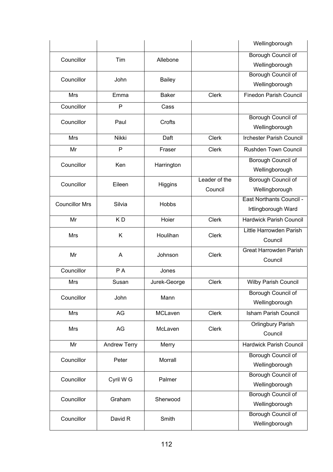|                       |              |               |               | Wellingborough                  |
|-----------------------|--------------|---------------|---------------|---------------------------------|
|                       |              |               |               | Borough Council of              |
| Councillor            | Tim          | Allebone      |               | Wellingborough                  |
| Councillor            | John         |               |               | Borough Council of              |
|                       |              | <b>Bailey</b> |               | Wellingborough                  |
| <b>Mrs</b>            | Emma         | <b>Baker</b>  | <b>Clerk</b>  | <b>Finedon Parish Council</b>   |
| Councillor            | P            | Cass          |               |                                 |
| Councillor            | Paul         | Crofts        |               | <b>Borough Council of</b>       |
|                       |              |               |               | Wellingborough                  |
| <b>Mrs</b>            | Nikki        | Daft          | <b>Clerk</b>  | <b>Irchester Parish Council</b> |
| Mr                    | $\mathsf{P}$ | Fraser        | <b>Clerk</b>  | <b>Rushden Town Council</b>     |
| Councillor            | Ken          | Harrington    |               | <b>Borough Council of</b>       |
|                       |              |               |               | Wellingborough                  |
| Councillor            | Eileen       | Higgins       | Leader of the | Borough Council of              |
|                       |              |               | Council       | Wellingborough                  |
| <b>Councillor Mrs</b> | Silvia       | Hobbs         |               | East Northants Council -        |
|                       |              |               |               | Irtlingborough Ward             |
| Mr                    | KD           | Hoier         | <b>Clerk</b>  | <b>Hardwick Parish Council</b>  |
| <b>Mrs</b>            | Κ            | Houlihan      | Clerk         | Little Harrowden Parish         |
|                       |              |               |               | Council                         |
| Mr                    | Α            | Johnson       | <b>Clerk</b>  | <b>Great Harrowden Parish</b>   |
|                       |              |               |               | Council                         |
| Councillor            | PA           | Jones         |               |                                 |
| Mrs                   | Susan        | Jurek-George  | <b>Clerk</b>  | <b>Wilby Parish Council</b>     |
| Councillor            | John         | Mann          |               | Borough Council of              |
|                       |              |               |               | Wellingborough                  |
| Mrs                   | AG           | MCLaven       | <b>Clerk</b>  | <b>Isham Parish Council</b>     |
| <b>Mrs</b>            | AG           | McLaven       | <b>Clerk</b>  | <b>Orlingbury Parish</b>        |
|                       |              |               |               | Council                         |
| Mr                    | Andrew Terry | Merry         |               | <b>Hardwick Parish Council</b>  |
| Councillor            | Peter        | Morrall       |               | Borough Council of              |
|                       |              |               |               | Wellingborough                  |
| Councillor            | Cyril W G    | Palmer        |               | <b>Borough Council of</b>       |
|                       |              |               |               | Wellingborough                  |
| Councillor            | Graham       | Sherwood      |               | <b>Borough Council of</b>       |
|                       |              |               |               | Wellingborough                  |
| Councillor            | David R      | Smith         |               | <b>Borough Council of</b>       |
|                       |              |               |               | Wellingborough                  |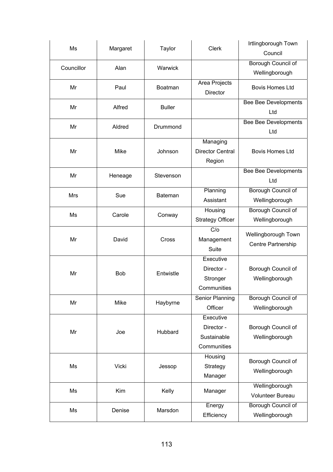| Ms         | Margaret   | Taylor         | Clerk                     | Irtlingborough Town<br>Council |
|------------|------------|----------------|---------------------------|--------------------------------|
| Councillor | Alan       | Warwick        |                           | <b>Borough Council of</b>      |
|            |            |                |                           | Wellingborough                 |
| Mr         | Paul       | Boatman        | Area Projects<br>Director | <b>Bovis Homes Ltd</b>         |
|            | Alfred     | <b>Buller</b>  |                           | <b>Bee Bee Developments</b>    |
| Mr         |            |                |                           | Ltd                            |
| Mr         | Aldred     | Drummond       |                           | <b>Bee Bee Developments</b>    |
|            |            |                |                           | Ltd                            |
|            |            |                | Managing                  |                                |
| Mr         | Mike       | Johnson        | <b>Director Central</b>   | <b>Bovis Homes Ltd</b>         |
|            |            |                | Region                    |                                |
|            |            |                |                           | <b>Bee Bee Developments</b>    |
| Mr         | Heneage    | Stevenson      |                           | Ltd                            |
| <b>Mrs</b> | Sue        | <b>Bateman</b> | Planning                  | <b>Borough Council of</b>      |
|            |            |                | Assistant                 | Wellingborough                 |
| Ms         | Carole     |                | Housing                   | <b>Borough Council of</b>      |
|            |            | Conway         | <b>Strategy Officer</b>   | Wellingborough                 |
|            |            |                | $\overline{C/O}$          | Wellingborough Town            |
| Mr         | David      | Cross          | Management                |                                |
|            |            |                | Suite                     | Centre Partnership             |
|            |            |                | Executive                 |                                |
|            |            | Entwistle      | Director -                | Borough Council of             |
| Mr         | <b>Bob</b> |                | Stronger                  | Wellingborough                 |
|            |            |                | Communities               |                                |
|            |            |                | Senior Planning           | Borough Council of             |
| Mr         | Mike       | Haybyrne       | Officer                   | Wellingborough                 |
|            |            |                | Executive                 |                                |
| Mr         | Joe        |                | Director -                | Borough Council of             |
|            |            | Hubbard        | Sustainable               | Wellingborough                 |
|            |            |                | Communities               |                                |
|            |            |                | Housing                   |                                |
| Ms         | Vicki      | Jessop         | Strategy                  | Borough Council of             |
|            |            |                | Manager                   | Wellingborough                 |
|            |            |                |                           | Wellingborough                 |
| Ms         | Kim        | Kelly          | Manager                   | <b>Volunteer Bureau</b>        |
| Ms         | Denise     | Marsdon        | Energy                    | Borough Council of             |
|            |            |                | Efficiency                | Wellingborough                 |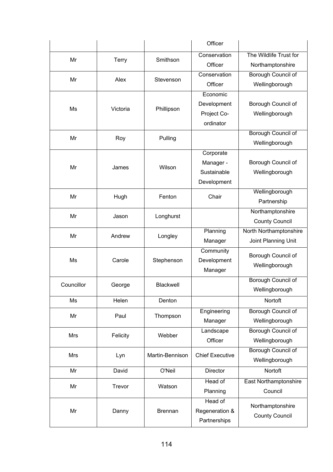|            |              |                 | Officer                |                           |
|------------|--------------|-----------------|------------------------|---------------------------|
|            |              |                 | Conservation           | The Wildlife Trust for    |
| Mr         | <b>Terry</b> | Smithson        | Officer                | Northamptonshire          |
| Mr         | Alex         |                 | Conservation           | Borough Council of        |
|            |              | Stevenson       | Officer                | Wellingborough            |
|            |              |                 | Economic               |                           |
| Ms         | Victoria     | Phillipson      | Development            | Borough Council of        |
|            |              |                 | Project Co-            | Wellingborough            |
|            |              |                 | ordinator              |                           |
| Mr         | Roy          | Pulling         |                        | Borough Council of        |
|            |              |                 |                        | Wellingborough            |
|            |              |                 | Corporate              |                           |
| Mr         | James        | Wilson          | Manager -              | Borough Council of        |
|            |              |                 | Sustainable            | Wellingborough            |
|            |              |                 | Development            |                           |
| Mr         | Hugh         | Fenton          | Chair                  | Wellingborough            |
|            |              |                 |                        | Partnership               |
| Mr         | Jason        | Longhurst       |                        | Northamptonshire          |
|            |              |                 |                        | <b>County Council</b>     |
| Mr         | Andrew       | Longley         | Planning               | North Northamptonshire    |
|            |              |                 | Manager                | Joint Planning Unit       |
|            |              |                 | Community              | Borough Council of        |
| Ms         | Carole       | Stephenson      | Development            | Wellingborough            |
|            |              |                 | Manager                |                           |
| Councillor | George       | Blackwell       |                        | Borough Council of        |
|            |              |                 |                        | Wellingborough            |
| Ms         | Helen        | Denton          |                        | Nortoft                   |
| Mr         | Paul         | Thompson        | Engineering            | <b>Borough Council of</b> |
|            |              |                 | Manager                | Wellingborough            |
| <b>Mrs</b> | Felicity     | Webber          | Landscape              | Borough Council of        |
|            |              |                 | Officer                | Wellingborough            |
| Mrs        | Lyn          | Martin-Bennison | <b>Chief Executive</b> | Borough Council of        |
|            |              |                 |                        | Wellingborough            |
| Mr         | David        | O'Neil          | Director               | Nortoft                   |
| Mr         | Trevor       | Watson          | Head of                | East Northamptonshire     |
|            |              |                 | Planning               | Council                   |
|            |              |                 | Head of                | Northamptonshire          |
| Mr         | Danny        | <b>Brennan</b>  | Regeneration &         | <b>County Council</b>     |
|            |              |                 | Partnerships           |                           |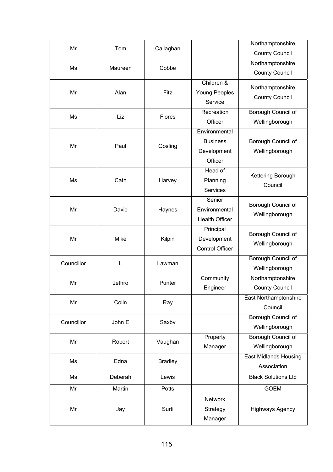| Mr         | Tom     | Callaghan      |                                               | Northamptonshire                          |
|------------|---------|----------------|-----------------------------------------------|-------------------------------------------|
|            |         |                |                                               | <b>County Council</b>                     |
| Ms         | Maureen | Cobbe          |                                               | Northamptonshire                          |
|            |         |                |                                               | <b>County Council</b>                     |
| Mr         | Alan    | Fitz           | Children &<br><b>Young Peoples</b><br>Service | Northamptonshire<br><b>County Council</b> |
| Ms         | Liz     | <b>Flores</b>  | Recreation                                    | Borough Council of                        |
|            |         |                | Officer                                       | Wellingborough                            |
|            |         |                | Environmental                                 |                                           |
| Mr         | Paul    | Gosling        | <b>Business</b>                               | Borough Council of                        |
|            |         |                | Development                                   | Wellingborough                            |
|            |         |                | Officer                                       |                                           |
|            |         |                | Head of                                       | Kettering Borough                         |
| Ms         | Cath    | Harvey         | Planning                                      | Council                                   |
|            |         |                | Services                                      |                                           |
|            |         |                | Senior                                        | Borough Council of                        |
| Mr         | David   | Haynes         | Environmental                                 | Wellingborough                            |
|            |         |                | <b>Health Officer</b>                         |                                           |
|            |         |                | Principal                                     | Borough Council of                        |
| Mr         | Mike    | Kilpin         | Development                                   | Wellingborough                            |
|            |         |                | <b>Control Officer</b>                        |                                           |
| Councillor | L       | Lawman         |                                               | Borough Council of                        |
|            |         |                |                                               | Wellingborough                            |
| Mr         | Jethro  | Punter         | Community                                     | Northamptonshire                          |
|            |         |                | Engineer                                      | <b>County Council</b>                     |
| Mr         | Colin   | Ray            |                                               | <b>East Northamptonshire</b>              |
|            |         |                |                                               | Council                                   |
| Councillor | John E  |                |                                               | Borough Council of                        |
|            |         | Saxby          |                                               | Wellingborough                            |
| Mr         | Robert  | Vaughan        | Property                                      | Borough Council of                        |
|            |         |                | Manager                                       | Wellingborough                            |
|            |         |                |                                               | <b>East Midlands Housing</b>              |
| Ms         | Edna    | <b>Bradley</b> |                                               | Association                               |
| Ms         | Deberah | Lewis          |                                               | <b>Black Solutions Ltd</b>                |
| Mr         | Martin  | Potts          |                                               | <b>GOEM</b>                               |
|            |         |                | <b>Network</b>                                |                                           |
| Mr         | Jay     | Surti          | Strategy                                      | <b>Highways Agency</b>                    |
|            |         |                | Manager                                       |                                           |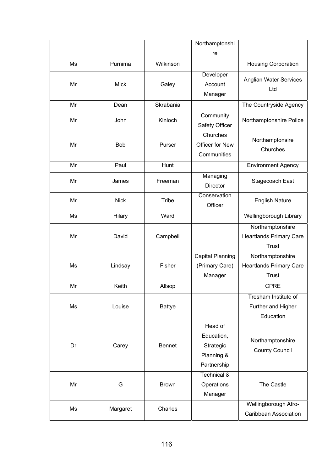|    |             |               | Northamptonshi                                                  |                                                                    |
|----|-------------|---------------|-----------------------------------------------------------------|--------------------------------------------------------------------|
|    |             |               | re                                                              |                                                                    |
| Ms | Purnima     | Wilkinson     |                                                                 | <b>Housing Corporation</b>                                         |
| Mr | <b>Mick</b> | Galey         | Developer<br>Account<br>Manager                                 | Anglian Water Services<br>Ltd                                      |
| Mr | Dean        | Skrabania     |                                                                 | The Countryside Agency                                             |
| Mr | John        | Kinloch       | Community<br>Safety Officer                                     | Northamptonshire Police                                            |
| Mr | <b>Bob</b>  | Purser        | Churches<br>Officer for New<br>Communities                      | Northamptonsire<br>Churches                                        |
| Mr | Paul        | Hunt          |                                                                 | <b>Environment Agency</b>                                          |
| Mr | James       | Freeman       | Managing<br><b>Director</b>                                     | Stagecoach East                                                    |
| Mr | <b>Nick</b> | Tribe         | Conservation<br>Officer                                         | <b>English Nature</b>                                              |
| Ms | Hilary      | Ward          |                                                                 | Wellingborough Library                                             |
| Mr | David       | Campbell      |                                                                 | Northamptonshire<br><b>Heartlands Primary Care</b><br>Trust        |
| Ms | Lindsay     | Fisher        | <b>Capital Planning</b><br>(Primary Care)<br>Manager            | Northamptonshire<br><b>Heartlands Primary Care</b><br><b>Trust</b> |
| Mr | Keith       | Allsop        |                                                                 | <b>CPRE</b>                                                        |
| Ms | Louise      | <b>Battye</b> |                                                                 | Tresham Institute of<br>Further and Higher<br>Education            |
| Dr | Carey       | <b>Bennet</b> | Head of<br>Education,<br>Strategic<br>Planning &<br>Partnership | Northamptonshire<br><b>County Council</b>                          |
| Mr | G           | <b>Brown</b>  | <b>Technical &amp;</b><br>Operations<br>Manager                 | The Castle                                                         |
| Ms | Margaret    | Charles       |                                                                 | Wellingborough Afro-<br><b>Caribbean Association</b>               |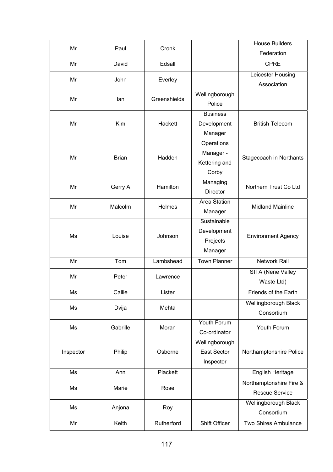| Mr        | Paul         | Cronk        |                     | <b>House Builders</b>       |
|-----------|--------------|--------------|---------------------|-----------------------------|
|           |              |              |                     | Federation                  |
| Mr        | David        | Edsall       |                     | <b>CPRE</b>                 |
| Mr        | John         | Everley      |                     | Leicester Housing           |
|           |              |              |                     | Association                 |
| Mr        | lan          | Greenshields | Wellingborough      |                             |
|           |              |              | Police              |                             |
|           |              |              | <b>Business</b>     |                             |
| Mr        | Kim          | Hackett      | Development         | <b>British Telecom</b>      |
|           |              |              | Manager             |                             |
|           |              |              | Operations          |                             |
| Mr        | <b>Brian</b> | Hadden       | Manager -           | Stagecoach in Northants     |
|           |              |              | Kettering and       |                             |
|           |              |              | Corby               |                             |
| Mr        | Gerry A      | Hamilton     | Managing            | Northern Trust Co Ltd       |
|           |              |              | Director            |                             |
| Mr        | Malcolm      | Holmes       | Area Station        | <b>Midland Mainline</b>     |
|           |              |              | Manager             |                             |
|           |              |              | Sustainable         |                             |
| Ms        | Louise       | Johnson      | Development         | <b>Environment Agency</b>   |
|           |              |              | Projects            |                             |
|           |              |              | Manager             |                             |
| Mr        | Tom          | Lambshead    | <b>Town Planner</b> | <b>Network Rail</b>         |
| Mr        | Peter        | Lawrence     |                     | <b>SITA (Nene Valley</b>    |
|           |              |              |                     | Waste Ltd)                  |
| Ms        | Callie       | Lister       |                     | Friends of the Earth        |
| Ms        | Dvija        | Mehta        |                     | Wellingborough Black        |
|           |              |              |                     | Consortium                  |
| Ms        | Gabrille     | Moran        | Youth Forum         | Youth Forum                 |
|           |              |              | Co-ordinator        |                             |
|           |              |              | Wellingborough      |                             |
| Inspector | Philip       | Osborne      | <b>East Sector</b>  | Northamptonshire Police     |
|           |              |              | Inspector           |                             |
| Ms        | Ann          | Plackett     |                     | English Heritage            |
| Ms        | Marie        | Rose         |                     | Northamptonshire Fire &     |
|           |              |              |                     | <b>Rescue Service</b>       |
| Ms        | Anjona       | Roy          |                     | Wellingborough Black        |
|           |              |              |                     | Consortium                  |
| Mr        | Keith        | Rutherford   | Shift Officer       | <b>Two Shires Ambulance</b> |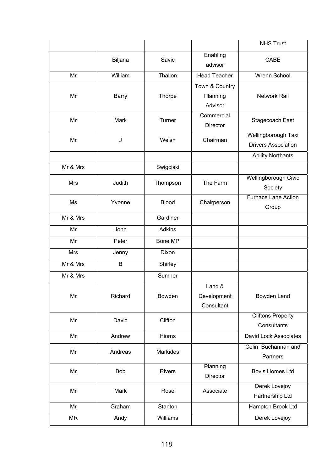|            |              |               |                                       | <b>NHS Trust</b>                                  |
|------------|--------------|---------------|---------------------------------------|---------------------------------------------------|
|            | Biljana      | Savic         | Enabling<br>advisor                   | CABE                                              |
| Mr         | William      | Thallon       | <b>Head Teacher</b>                   | Wrenn School                                      |
| Mr         | <b>Barry</b> | Thorpe        | Town & Country<br>Planning<br>Advisor | <b>Network Rail</b>                               |
| Mr         | Mark         | Turner        | Commercial<br>Director                | Stagecoach East                                   |
| Mr         | J            | Welsh         | Chairman                              | Wellingborough Taxi<br><b>Drivers Association</b> |
|            |              |               |                                       | <b>Ability Northants</b>                          |
| Mr & Mrs   |              | Swigciski     |                                       |                                                   |
| Mrs        | Judith       | Thompson      | The Farm                              | <b>Wellingborough Civic</b><br>Society            |
| Ms         | Yvonne       | <b>Blood</b>  | Chairperson                           | <b>Furnace Lane Action</b><br>Group               |
| Mr & Mrs   |              | Gardiner      |                                       |                                                   |
| Mr         | John         | Adkins        |                                       |                                                   |
| Mr         | Peter        | Bone MP       |                                       |                                                   |
| <b>Mrs</b> | Jenny        | Dixon         |                                       |                                                   |
| Mr & Mrs   | B            | Shirley       |                                       |                                                   |
| Mr & Mrs   |              | Sumner        |                                       |                                                   |
| Mr         | Richard      | Bowden        | Land &<br>Development<br>Consultant   | Bowden Land                                       |
| Mr         | David        | Clifton       |                                       | <b>Cliftons Property</b><br>Consultants           |
| Mr         | Andrew       | Hiorns        |                                       | David Lock Associates                             |
| Mr         | Andreas      | Markides      |                                       | Colin Buchannan and<br>Partners                   |
| Mr         | <b>Bob</b>   | <b>Rivers</b> | Planning<br>Director                  | <b>Bovis Homes Ltd</b>                            |
| Mr         | Mark         | Rose          | Associate                             | Derek Lovejoy<br>Partnership Ltd                  |
| Mr         | Graham       | Stanton       |                                       | Hampton Brook Ltd                                 |
| <b>MR</b>  | Andy         | Williams      |                                       | Derek Lovejoy                                     |